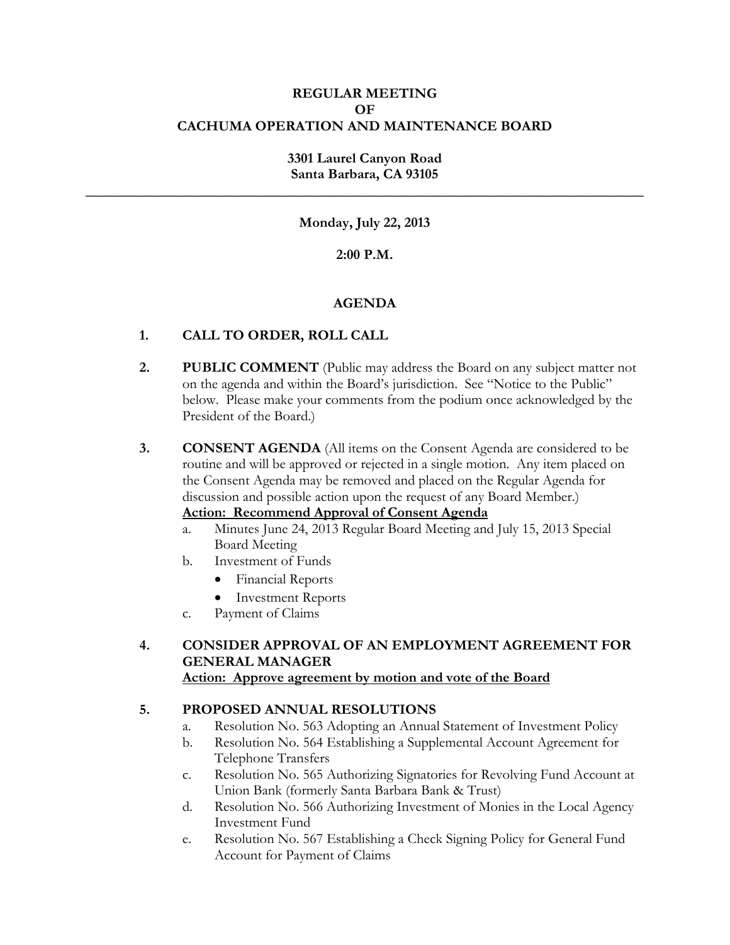#### **REGULAR MEETING OF CACHUMA OPERATION AND MAINTENANCE BOARD**

### **3301 Laurel Canyon Road Santa Barbara, CA 93105**

**\_\_\_\_\_\_\_\_\_\_\_\_\_\_\_\_\_\_\_\_\_\_\_\_\_\_\_\_\_\_\_\_\_\_\_\_\_\_\_\_\_\_\_\_\_\_\_\_\_\_\_\_\_\_\_\_\_\_\_\_\_\_\_\_\_\_\_\_\_\_\_\_\_\_\_\_\_\_**

#### **Monday, July 22, 2013**

#### **2:00 P.M.**

#### **AGENDA**

#### **1. CALL TO ORDER, ROLL CALL**

**2. PUBLIC COMMENT** (Public may address the Board on any subject matter not on the agenda and within the Board's jurisdiction. See "Notice to the Public" below. Please make your comments from the podium once acknowledged by the President of the Board.)

**3. CONSENT AGENDA** (All items on the Consent Agenda are considered to be routine and will be approved or rejected in a single motion. Any item placed on the Consent Agenda may be removed and placed on the Regular Agenda for discussion and possible action upon the request of any Board Member.) **Action: Recommend Approval of Consent Agenda** 

- a. Minutes June 24, 2013 Regular Board Meeting and July 15, 2013 Special Board Meeting
- b. Investment of Funds
	- Financial Reports
	- Investment Reports
- c. Payment of Claims

# **4. CONSIDER APPROVAL OF AN EMPLOYMENT AGREEMENT FOR GENERAL MANAGER**

**Action: Approve agreement by motion and vote of the Board**

### **5. PROPOSED ANNUAL RESOLUTIONS**

- a. Resolution No. 563 Adopting an Annual Statement of Investment Policy
- b. Resolution No. 564 Establishing a Supplemental Account Agreement for Telephone Transfers
- c. Resolution No. 565 Authorizing Signatories for Revolving Fund Account at Union Bank (formerly Santa Barbara Bank & Trust)
- d. Resolution No. 566 Authorizing Investment of Monies in the Local Agency Investment Fund
- e. Resolution No. 567 Establishing a Check Signing Policy for General Fund Account for Payment of Claims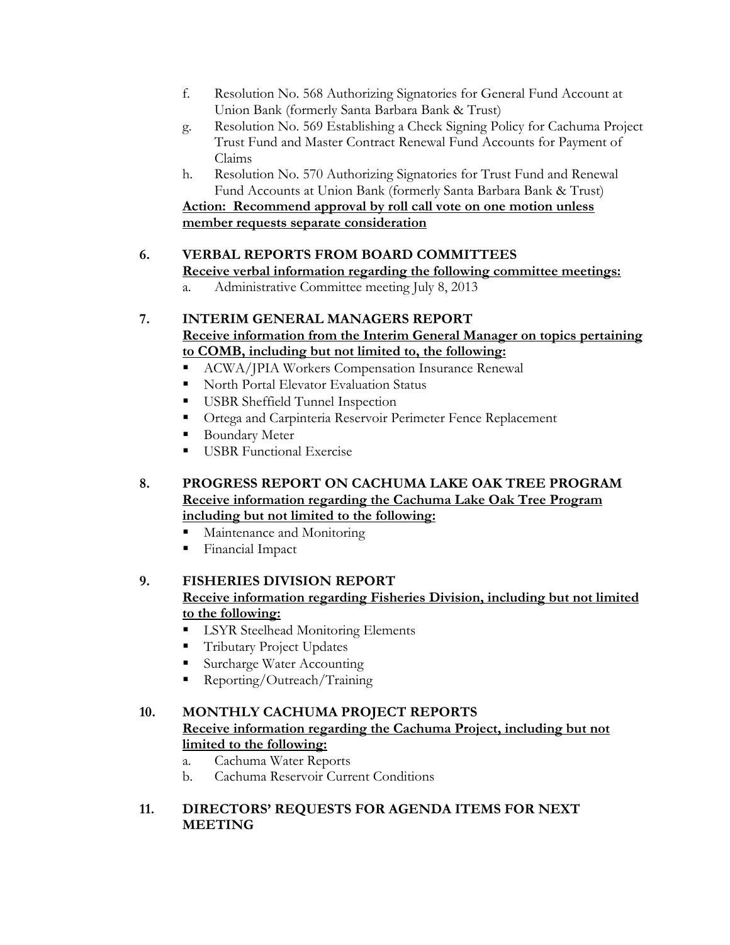- f. Resolution No. 568 Authorizing Signatories for General Fund Account at Union Bank (formerly Santa Barbara Bank & Trust)
- g. Resolution No. 569 Establishing a Check Signing Policy for Cachuma Project Trust Fund and Master Contract Renewal Fund Accounts for Payment of Claims
- h. Resolution No. 570 Authorizing Signatories for Trust Fund and Renewal Fund Accounts at Union Bank (formerly Santa Barbara Bank & Trust) **Action: Recommend approval by roll call vote on one motion unless member requests separate consideration**

# **6. VERBAL REPORTS FROM BOARD COMMITTEES**

**Receive verbal information regarding the following committee meetings:**

a. Administrative Committee meeting July 8, 2013

# **7. INTERIM GENERAL MANAGERS REPORT Receive information from the Interim General Manager on topics pertaining to COMB, including but not limited to, the following:**

- ACWA/JPIA Workers Compensation Insurance Renewal
- North Portal Elevator Evaluation Status
- **USBR** Sheffield Tunnel Inspection
- **Ortega and Carpinteria Reservoir Perimeter Fence Replacement**
- Boundary Meter
- **USBR** Functional Exercise
- **8. PROGRESS REPORT ON CACHUMA LAKE OAK TREE PROGRAM Receive information regarding the Cachuma Lake Oak Tree Program including but not limited to the following:**
	- **Maintenance and Monitoring**
	- **Financial Impact**

# **9. FISHERIES DIVISION REPORT**

## **Receive information regarding Fisheries Division, including but not limited to the following:**

- **LSYR Steelhead Monitoring Elements**
- Tributary Project Updates
- Surcharge Water Accounting
- Reporting/Outreach/Training

### **10. MONTHLY CACHUMA PROJECT REPORTS**

# **Receive information regarding the Cachuma Project, including but not limited to the following:**

- a. Cachuma Water Reports
- b. Cachuma Reservoir Current Conditions

### **11. DIRECTORS' REQUESTS FOR AGENDA ITEMS FOR NEXT MEETING**